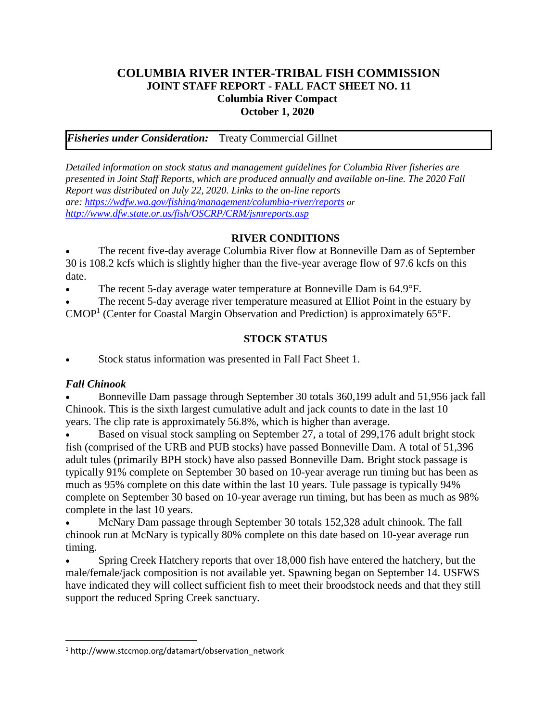### **COLUMBIA RIVER INTER-TRIBAL FISH COMMISSION JOINT STAFF REPORT - FALL FACT SHEET NO. 11 Columbia River Compact October 1, 2020**

*Fisheries under Consideration:* Treaty Commercial Gillnet

*Detailed information on stock status and management guidelines for Columbia River fisheries are presented in Joint Staff Reports, which are produced annually and available on-line. The 2020 Fall Report was distributed on July 22, 2020. Links to the on-line reports are: <https://wdfw.wa.gov/fishing/management/columbia-river/reports> or <http://www.dfw.state.or.us/fish/OSCRP/CRM/jsmreports.asp>*

#### **RIVER CONDITIONS**

The recent five-day average Columbia River flow at Bonneville Dam as of September 30 is 108.2 kcfs which is slightly higher than the five-year average flow of 97.6 kcfs on this date.

The recent 5-day average water temperature at Bonneville Dam is 64.9°F.

The recent 5-day average river temperature measured at Elliot Point in the estuary by  $CMOP<sup>1</sup>$  (Center for Coastal Margin Observation and Prediction) is approximately 65°F.

## **STOCK STATUS**

Stock status information was presented in Fall Fact Sheet 1.

## *Fall Chinook*

 $\overline{\phantom{a}}$ 

• Bonneville Dam passage through September 30 totals 360,199 adult and 51,956 jack fall Chinook. This is the sixth largest cumulative adult and jack counts to date in the last 10 years. The clip rate is approximately 56.8%, which is higher than average.

Based on visual stock sampling on September 27, a total of 299,176 adult bright stock fish (comprised of the URB and PUB stocks) have passed Bonneville Dam. A total of 51,396 adult tules (primarily BPH stock) have also passed Bonneville Dam. Bright stock passage is typically 91% complete on September 30 based on 10-year average run timing but has been as much as 95% complete on this date within the last 10 years. Tule passage is typically 94% complete on September 30 based on 10-year average run timing, but has been as much as 98% complete in the last 10 years.

• McNary Dam passage through September 30 totals 152,328 adult chinook. The fall chinook run at McNary is typically 80% complete on this date based on 10-year average run timing.

• Spring Creek Hatchery reports that over 18,000 fish have entered the hatchery, but the male/female/jack composition is not available yet. Spawning began on September 14. USFWS have indicated they will collect sufficient fish to meet their broodstock needs and that they still support the reduced Spring Creek sanctuary.

<sup>1</sup> http://www.stccmop.org/datamart/observation\_network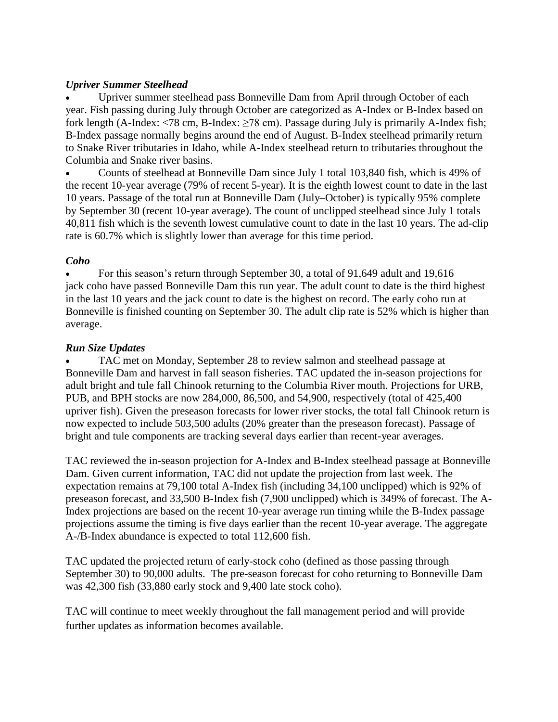### *Upriver Summer Steelhead*

• Upriver summer steelhead pass Bonneville Dam from April through October of each year. Fish passing during July through October are categorized as A-Index or B-Index based on fork length (A-Index:  $\langle 78 \text{ cm}, B\text{-Index}: 278 \text{ cm} \rangle$ ). Passage during July is primarily A-Index fish; B-Index passage normally begins around the end of August. B-Index steelhead primarily return to Snake River tributaries in Idaho, while A-Index steelhead return to tributaries throughout the Columbia and Snake river basins.

• Counts of steelhead at Bonneville Dam since July 1 total 103,840 fish, which is 49% of the recent 10-year average (79% of recent 5-year). It is the eighth lowest count to date in the last 10 years. Passage of the total run at Bonneville Dam (July–October) is typically 95% complete by September 30 (recent 10-year average). The count of unclipped steelhead since July 1 totals 40,811 fish which is the seventh lowest cumulative count to date in the last 10 years. The ad-clip rate is 60.7% which is slightly lower than average for this time period.

## *Coho*

• For this season's return through September 30, a total of 91,649 adult and 19,616 jack coho have passed Bonneville Dam this run year. The adult count to date is the third highest in the last 10 years and the jack count to date is the highest on record. The early coho run at Bonneville is finished counting on September 30. The adult clip rate is 52% which is higher than average.

#### *Run Size Updates*

• TAC met on Monday, September 28 to review salmon and steelhead passage at Bonneville Dam and harvest in fall season fisheries. TAC updated the in-season projections for adult bright and tule fall Chinook returning to the Columbia River mouth. Projections for URB, PUB, and BPH stocks are now 284,000, 86,500, and 54,900, respectively (total of 425,400 upriver fish). Given the preseason forecasts for lower river stocks, the total fall Chinook return is now expected to include 503,500 adults (20% greater than the preseason forecast). Passage of bright and tule components are tracking several days earlier than recent-year averages.

TAC reviewed the in-season projection for A-Index and B-Index steelhead passage at Bonneville Dam. Given current information, TAC did not update the projection from last week. The expectation remains at 79,100 total A-Index fish (including 34,100 unclipped) which is 92% of preseason forecast, and 33,500 B-Index fish (7,900 unclipped) which is 349% of forecast. The A-Index projections are based on the recent 10-year average run timing while the B-Index passage projections assume the timing is five days earlier than the recent 10-year average. The aggregate A-/B-Index abundance is expected to total 112,600 fish.

TAC updated the projected return of early-stock coho (defined as those passing through September 30) to 90,000 adults. The pre-season forecast for coho returning to Bonneville Dam was 42,300 fish (33,880 early stock and 9,400 late stock coho).

TAC will continue to meet weekly throughout the fall management period and will provide further updates as information becomes available.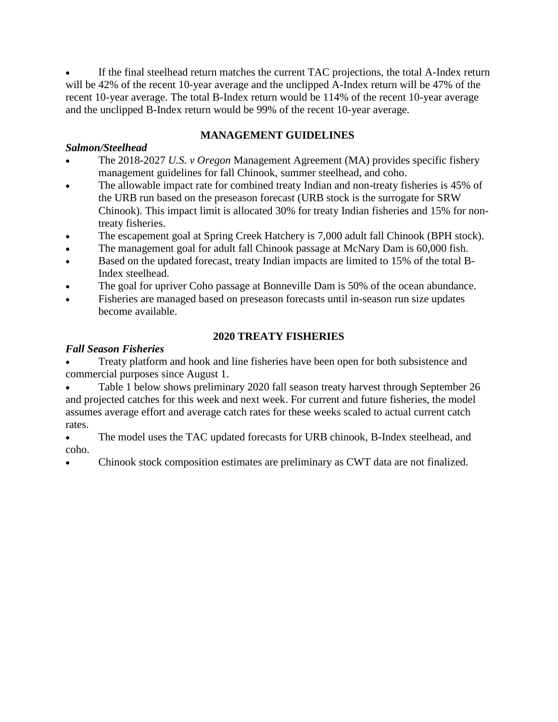If the final steelhead return matches the current TAC projections, the total A-Index return will be 42% of the recent 10-year average and the unclipped A-Index return will be 47% of the recent 10-year average. The total B-Index return would be 114% of the recent 10-year average and the unclipped B-Index return would be 99% of the recent 10-year average.

## **MANAGEMENT GUIDELINES**

## *Salmon/Steelhead*

- The 2018-2027 *U.S. v Oregon* Management Agreement (MA) provides specific fishery management guidelines for fall Chinook, summer steelhead, and coho.
- The allowable impact rate for combined treaty Indian and non-treaty fisheries is 45% of the URB run based on the preseason forecast (URB stock is the surrogate for SRW Chinook). This impact limit is allocated 30% for treaty Indian fisheries and 15% for nontreaty fisheries.
- The escapement goal at Spring Creek Hatchery is 7,000 adult fall Chinook (BPH stock).
- The management goal for adult fall Chinook passage at McNary Dam is 60,000 fish.
- Based on the updated forecast, treaty Indian impacts are limited to 15% of the total B-Index steelhead.
- The goal for upriver Coho passage at Bonneville Dam is 50% of the ocean abundance.
- Fisheries are managed based on preseason forecasts until in-season run size updates become available.

# **2020 TREATY FISHERIES**

## *Fall Season Fisheries*

• Treaty platform and hook and line fisheries have been open for both subsistence and commercial purposes since August 1.

• Table 1 below shows preliminary 2020 fall season treaty harvest through September 26 and projected catches for this week and next week. For current and future fisheries, the model assumes average effort and average catch rates for these weeks scaled to actual current catch rates.

The model uses the TAC updated forecasts for URB chinook, B-Index steelhead, and coho.

• Chinook stock composition estimates are preliminary as CWT data are not finalized.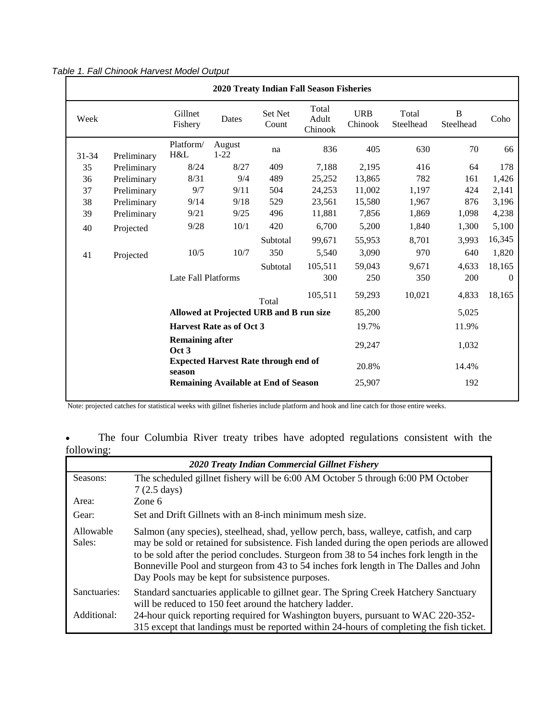| 2020 Treaty Indian Fall Season Fisheries    |                                                                                                                             |                                         |                    |                  |                           |                       |                    |                |        |
|---------------------------------------------|-----------------------------------------------------------------------------------------------------------------------------|-----------------------------------------|--------------------|------------------|---------------------------|-----------------------|--------------------|----------------|--------|
| Week                                        |                                                                                                                             | Gillnet<br>Fishery                      | Dates              | Set Net<br>Count | Total<br>Adult<br>Chinook | <b>URB</b><br>Chinook | Total<br>Steelhead | B<br>Steelhead | Coho   |
| $31 - 34$                                   | Preliminary                                                                                                                 | Platform/<br>H&L                        | August<br>$1 - 22$ | na               | 836                       | 405                   | 630                | 70             | 66     |
| 35                                          | Preliminary                                                                                                                 | 8/24                                    | 8/27               | 409              | 7,188                     | 2,195                 | 416                | 64             | 178    |
| 36                                          | Preliminary                                                                                                                 | 8/31                                    | 9/4                | 489              | 25,252                    | 13,865                | 782                | 161            | 1,426  |
| 37                                          | Preliminary                                                                                                                 | 9/7                                     | 9/11               | 504              | 24,253                    | 11,002                | 1,197              | 424            | 2,141  |
| 38                                          | Preliminary                                                                                                                 | 9/14                                    | 9/18               | 529              | 23,561                    | 15,580                | 1,967              | 876            | 3,196  |
| 39                                          | Preliminary                                                                                                                 | 9/21                                    | 9/25               | 496              | 11,881                    | 7,856                 | 1,869              | 1,098          | 4,238  |
| 40                                          | Projected                                                                                                                   | 9/28                                    | 10/1               | 420              | 6,700                     | 5,200                 | 1,840              | 1,300          | 5,100  |
|                                             |                                                                                                                             |                                         |                    | Subtotal         | 99,671                    | 55,953                | 8,701              | 3.993          | 16,345 |
| 41                                          | Projected                                                                                                                   | 10/5                                    | 10/7               | 350              | 5,540                     | 3,090                 | 970                | 640            | 1,820  |
|                                             |                                                                                                                             |                                         |                    | Subtotal         | 105,511                   | 59,043                | 9,671              | 4,633          | 18,165 |
|                                             | Late Fall Platforms                                                                                                         |                                         |                    | 300              | 250                       | 350                   | 200                | $\theta$       |        |
|                                             |                                                                                                                             |                                         |                    | Total            | 105,511                   | 59,293                | 10,021             | 4,833          | 18,165 |
|                                             |                                                                                                                             | Allowed at Projected URB and B run size | 85,200             |                  | 5,025                     |                       |                    |                |        |
|                                             | <b>Harvest Rate as of Oct 3</b><br><b>Remaining after</b><br>Oct 3<br><b>Expected Harvest Rate through end of</b><br>season |                                         |                    |                  |                           |                       |                    | 11.9%          |        |
|                                             |                                                                                                                             |                                         |                    |                  |                           |                       |                    | 1,032          |        |
|                                             |                                                                                                                             |                                         |                    |                  |                           |                       |                    | 14.4%          |        |
| <b>Remaining Available at End of Season</b> |                                                                                                                             |                                         |                    |                  |                           |                       |                    | 192            |        |
|                                             |                                                                                                                             |                                         |                    |                  |                           |                       |                    |                |        |

Note: projected catches for statistical weeks with gillnet fisheries include platform and hook and line catch for those entire weeks.

|            |  |  |  |  | The four Columbia River treaty tribes have adopted regulations consistent with the |  |  |
|------------|--|--|--|--|------------------------------------------------------------------------------------|--|--|
| following: |  |  |  |  |                                                                                    |  |  |

| 2020 Treaty Indian Commercial Gillnet Fishery |                                                                                                                                                                                                                                                                                                                                                                                                                         |  |  |  |  |
|-----------------------------------------------|-------------------------------------------------------------------------------------------------------------------------------------------------------------------------------------------------------------------------------------------------------------------------------------------------------------------------------------------------------------------------------------------------------------------------|--|--|--|--|
| Seasons:                                      | The scheduled gillnet fishery will be 6:00 AM October 5 through 6:00 PM October<br>$7(2.5 \text{ days})$                                                                                                                                                                                                                                                                                                                |  |  |  |  |
| Area:                                         | Zone 6                                                                                                                                                                                                                                                                                                                                                                                                                  |  |  |  |  |
| Gear:                                         | Set and Drift Gillnets with an 8-inch minimum mesh size.                                                                                                                                                                                                                                                                                                                                                                |  |  |  |  |
| Allowable<br>Sales:                           | Salmon (any species), steelhead, shad, yellow perch, bass, walleye, catfish, and carp<br>may be sold or retained for subsistence. Fish landed during the open periods are allowed<br>to be sold after the period concludes. Sturgeon from 38 to 54 inches fork length in the<br>Bonneville Pool and sturgeon from 43 to 54 inches fork length in The Dalles and John<br>Day Pools may be kept for subsistence purposes. |  |  |  |  |
| Sanctuaries:                                  | Standard sanctuaries applicable to gillnet gear. The Spring Creek Hatchery Sanctuary<br>will be reduced to 150 feet around the hatchery ladder.                                                                                                                                                                                                                                                                         |  |  |  |  |
| Additional:                                   | 24-hour quick reporting required for Washington buyers, pursuant to WAC 220-352-<br>315 except that landings must be reported within 24-hours of completing the fish ticket.                                                                                                                                                                                                                                            |  |  |  |  |